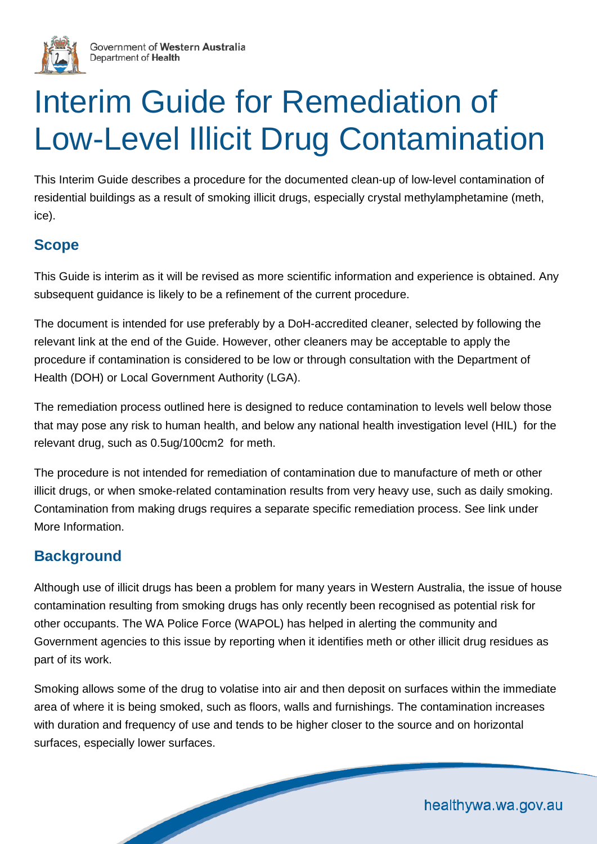

# Interim Guide for Remediation of Low-Level Illicit Drug Contamination

This Interim Guide describes a procedure for the documented clean-up of low-level contamination of residential buildings as a result of smoking illicit drugs, especially crystal methylamphetamine (meth, ice).

# **Scope**

This Guide is interim as it will be revised as more scientific information and experience is obtained. Any subsequent guidance is likely to be a refinement of the current procedure.

The document is intended for use preferably by a DoH-accredited cleaner, selected by following the relevant link at the end of the Guide. However, other cleaners may be acceptable to apply the procedure if contamination is considered to be low or through consultation with the Department of Health (DOH) or Local Government Authority (LGA).

The remediation process outlined here is designed to reduce contamination to levels well below those that may pose any risk to human health, and below any national health investigation level (HIL) for the relevant drug, such as 0.5ug/100cm2 for meth.

The procedure is not intended for remediation of contamination due to manufacture of meth or other illicit drugs, or when smoke-related contamination results from very heavy use, such as daily smoking. Contamination from making drugs requires a separate specific remediation process. See link under More Information.

# **Background**

Although use of illicit drugs has been a problem for many years in Western Australia, the issue of house contamination resulting from smoking drugs has only recently been recognised as potential risk for other occupants. The WA Police Force (WAPOL) has helped in alerting the community and Government agencies to this issue by reporting when it identifies meth or other illicit drug residues as part of its work.

Smoking allows some of the drug to volatise into air and then deposit on surfaces within the immediate area of where it is being smoked, such as floors, walls and furnishings. The contamination increases with duration and frequency of use and tends to be higher closer to the source and on horizontal surfaces, especially lower surfaces.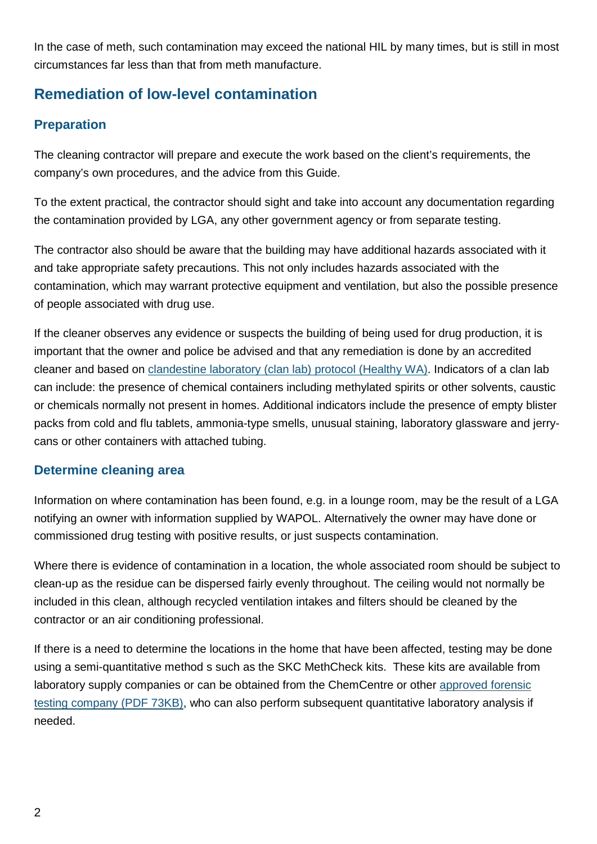In the case of meth, such contamination may exceed the national HIL by many times, but is still in most circumstances far less than that from meth manufacture.

# **Remediation of low-level contamination**

## **Preparation**

The cleaning contractor will prepare and execute the work based on the client's requirements, the company's own procedures, and the advice from this Guide.

To the extent practical, the contractor should sight and take into account any documentation regarding the contamination provided by LGA, any other government agency or from separate testing.

The contractor also should be aware that the building may have additional hazards associated with it and take appropriate safety precautions. This not only includes hazards associated with the contamination, which may warrant protective equipment and ventilation, but also the possible presence of people associated with drug use.

If the cleaner observes any evidence or suspects the building of being used for drug production, it is important that the owner and police be advised and that any remediation is done by an accredited cleaner and based on [clandestine laboratory \(clan lab\) protocol \(Healthy WA\).](http://healthywa.wa.gov.au/Articles/A_E/Clandestine-drug-laboratories-are-you-at-risk) Indicators of a clan lab can include: the presence of chemical containers including methylated spirits or other solvents, caustic or chemicals normally not present in homes. Additional indicators include the presence of empty blister packs from cold and flu tablets, ammonia-type smells, unusual staining, laboratory glassware and jerrycans or other containers with attached tubing.

#### **Determine cleaning area**

Information on where contamination has been found, e.g. in a lounge room, may be the result of a LGA notifying an owner with information supplied by WAPOL. Alternatively the owner may have done or commissioned drug testing with positive results, or just suspects contamination.

Where there is evidence of contamination in a location, the whole associated room should be subject to clean-up as the residue can be dispersed fairly evenly throughout. The ceiling would not normally be included in this clean, although recycled ventilation intakes and filters should be cleaned by the contractor or an air conditioning professional.

If there is a need to determine the locations in the home that have been affected, testing may be done using a semi-quantitative method s such as the SKC MethCheck kits. These kits are available from laboratory supply companies or can be obtained from the ChemCentre or other [approved forensic](http://ww2.health.wa.gov.au/%7E/media/Files/Corporate/general%20documents/Clandestine%20drug%20labs/PDF/companies-qualified-for-testing-and-remediating-chemical-residues.pdf)  [testing company \(PDF 73KB\),](http://ww2.health.wa.gov.au/%7E/media/Files/Corporate/general%20documents/Clandestine%20drug%20labs/PDF/companies-qualified-for-testing-and-remediating-chemical-residues.pdf) who can also perform subsequent quantitative laboratory analysis if needed.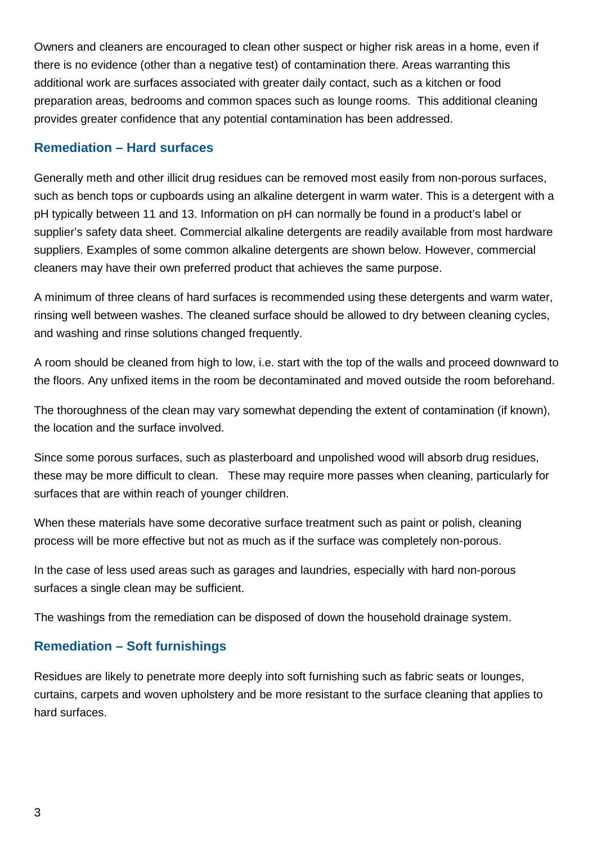Owners and cleaners are encouraged to clean other suspect or higher risk areas in a home, even if there is no evidence (other than a negative test) of contamination there. Areas warranting this additional work are surfaces associated with greater daily contact, such as a kitchen or food preparation areas, bedrooms and common spaces such as lounge rooms. This additional cleaning provides greater confidence that any potential contamination has been addressed.

#### **Remediation – Hard surfaces**

Generally meth and other illicit drug residues can be removed most easily from non-porous surfaces, such as bench tops or cupboards using an alkaline detergent in warm water. This is a detergent with a pH typically between 11 and 13. Information on pH can normally be found in a product's label or supplier's safety data sheet. Commercial alkaline detergents are readily available from most hardware suppliers. Examples of some common alkaline detergents are shown below. However, commercial cleaners may have their own preferred product that achieves the same purpose.

A minimum of three cleans of hard surfaces is recommended using these detergents and warm water, rinsing well between washes. The cleaned surface should be allowed to dry between cleaning cycles, and washing and rinse solutions changed frequently.

A room should be cleaned from high to low, i.e. start with the top of the walls and proceed downward to the floors. Any unfixed items in the room be decontaminated and moved outside the room beforehand.

The thoroughness of the clean may vary somewhat depending the extent of contamination (if known), the location and the surface involved.

Since some porous surfaces, such as plasterboard and unpolished wood will absorb drug residues, these may be more difficult to clean. These may require more passes when cleaning, particularly for surfaces that are within reach of younger children.

When these materials have some decorative surface treatment such as paint or polish, cleaning process will be more effective but not as much as if the surface was completely non-porous.

In the case of less used areas such as garages and laundries, especially with hard non-porous surfaces a single clean may be sufficient.

The washings from the remediation can be disposed of down the household drainage system.

## **Remediation – Soft furnishings**

Residues are likely to penetrate more deeply into soft furnishing such as fabric seats or lounges, curtains, carpets and woven upholstery and be more resistant to the surface cleaning that applies to hard surfaces.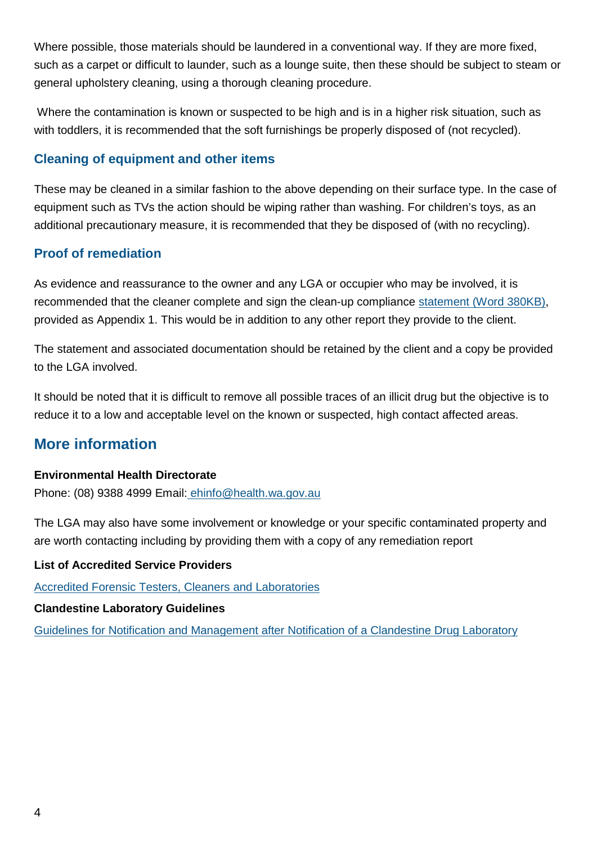Where possible, those materials should be laundered in a conventional way. If they are more fixed, such as a carpet or difficult to launder, such as a lounge suite, then these should be subject to steam or general upholstery cleaning, using a thorough cleaning procedure.

Where the contamination is known or suspected to be high and is in a higher risk situation, such as with toddlers, it is recommended that the soft furnishings be properly disposed of (not recycled).

### **Cleaning of equipment and other items**

These may be cleaned in a similar fashion to the above depending on their surface type. In the case of equipment such as TVs the action should be wiping rather than washing. For children's toys, as an additional precautionary measure, it is recommended that they be disposed of (with no recycling).

## **Proof of remediation**

As evidence and reassurance to the owner and any LGA or occupier who may be involved, it is recommended that the cleaner complete and sign the clean-up compliance [statement \(Word 380KB\),](http://ww2.health.wa.gov.au/%7E/media/Files/Corporate/general%20documents/Clandestine%20drug%20labs/Word/Contractor-contamination-clean-up-statement.docx) provided as Appendix 1. This would be in addition to any other report they provide to the client.

The statement and associated documentation should be retained by the client and a copy be provided to the LGA involved.

It should be noted that it is difficult to remove all possible traces of an illicit drug but the objective is to reduce it to a low and acceptable level on the known or suspected, high contact affected areas.

# **More information**

#### **Environmental Health Directorate**

Phone: (08) 9388 4999 Email: [ehinfo@health.wa.gov.au](mailto:mailto:ehinfo@health.wa.gov.au)

The LGA may also have some involvement or knowledge or your specific contaminated property and are worth contacting including by providing them with a copy of any remediation report

#### **List of Accredited Service Providers**

[Accredited Forensic Testers, Cleaners and Laboratories](http://ww2.health.wa.gov.au/%7E/media/Files/Corporate/general%20documents/Clandestine%20drug%20labs/PDF/companies-qualified-for-testing-and-remediating-chemical-residues.pdf)

#### **Clandestine Laboratory Guidelines**

[Guidelines for Notification and Management after Notification of a Clandestine Drug Laboratory](http://ww2.health.wa.gov.au/Articles/A_E/Clandestine-drug-labs)